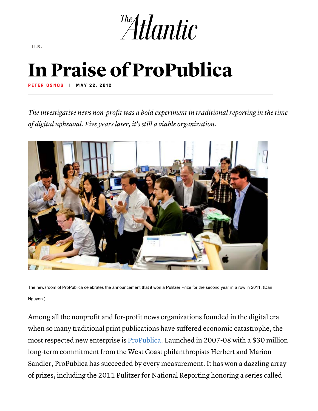

**U.S.**

## In Praise of ProPublica

**PETER OSNO S | MAY 22, 2012** 

*The investigative news non-profit was a bold experiment in traditional reporting in the time of digital upheaval. Five years later, it's still a viable organization.*



The newsroom of ProPublica celebrates the announcement that it won a Pulitzer Prize for the second year in a row in 2011. (Dan Nguyen )

Among all the nonprofit and for-profit news organizations founded in the digital era when so many traditional print publications have suffered economic catastrophe, the most respected new enterprise is ProPublica. Launched in 2007-08 with a \$30 million long-term commitment from the West Coast philanthropists Herbert and Marion Sandler, ProPublica has succeeded by every measurement. It has won a dazzling array of prizes, including the 2011 Pulitzer for National Reporting honoring a series called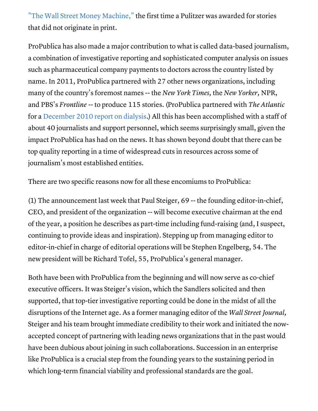"The Wall Street Money Machine," the first time a Pulitzer was awarded for stories that did not originate in print.

ProPublica has also made a major contribution to what is called data-based journalism, a combination of investigative reporting and sophisticated computer analysis on issues such as pharmaceutical company payments to doctors across the country listed by name. In 2011, ProPublica partnered with 27 other news organizations, including many of the country's foremost names -- the *New York Times,* the *New Yorker,* NPR, and PBS's *Frontline* -- to produce 115 stories. (ProPublica partnered with *The Atlantic* for a December 2010 report on dialysis.) All this has been accomplished with a staff of about 40 journalists and support personnel, which seems surprisingly small, given the impact ProPublica has had on the news. It has shown beyond doubt that there can be top quality reporting in a time of widespread cuts in resources across some of journalism's most established entities.

There are two specific reasons now for all these encomiums to ProPublica:

(1) The announcement last week that Paul Steiger, 69 -- the founding editor-in-chief, CEO, and president of the organization -- will become executive chairman at the end of the year, a position he describes as part-time including fund-raising (and, I suspect, continuing to provide ideas and inspiration). Stepping up from managing editor to editor-in-chief in charge of editorial operations will be Stephen Engelberg, 54. The new president will be Richard Tofel, 55, ProPublica's general manager.

Both have been with ProPublica from the beginning and will now serve as co-chief executive officers. It was Steiger's vision, which the Sandlers solicited and then supported, that top-tier investigative reporting could be done in the midst of all the disruptions of the Internet age. As a former managing editor of the *Wall Street Journal,* Steiger and his team brought immediate credibility to their work and initiated the nowaccepted concept of partnering with leading news organizations that in the past would have been dubious about joining in such collaborations. Succession in an enterprise like ProPublica is a crucial step from the founding years to the sustaining period in which long-term financial viability and professional standards are the goal.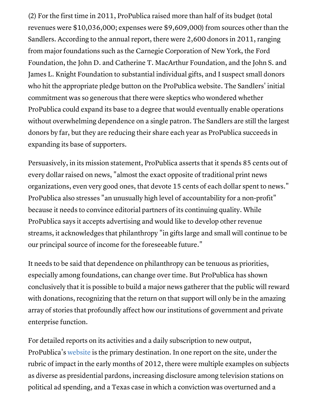(2) For the first time in 2011, ProPublica raised more than half of its budget (total revenues were \$10,036,000; expenses were \$9,609,000) from sources other than the Sandlers. According to the annual report, there were 2,600 donors in 2011, ranging from major foundations such as the Carnegie Corporation of New York, the Ford Foundation, the John D. and Catherine T. MacArthur Foundation, and the John S. and James L. Knight Foundation to substantial individual gifts, and I suspect small donors who hit the appropriate pledge button on the ProPublica website. The Sandlers' initial commitment was so generous that there were skeptics who wondered whether ProPublica could expand its base to a degree that would eventually enable operations without overwhelming dependence on a single patron. The Sandlers are still the largest donors by far, but they are reducing their share each year as ProPublica succeeds in expanding its base of supporters.

Persuasively, in its mission statement, ProPublica asserts that it spends 85 cents out of every dollar raised on news, "almost the exact opposite of traditional print news organizations, even very good ones, that devote 15 cents of each dollar spent to news." ProPublica also stresses "an unusually high level of accountability for a non-profit" because it needs to convince editorial partners of its continuing quality. While ProPublica says it accepts advertising and would like to develop other revenue streams, it acknowledges that philanthropy "in gifts large and small will continue to be our principal source of income for the foreseeable future."

It needs to be said that dependence on philanthropy can be tenuous as priorities, especially among foundations, can change over time. But ProPublica has shown conclusively that it is possible to build a major news gatherer that the public will reward with donations, recognizing that the return on that support will only be in the amazing array of stories that profoundly affect how our institutions of government and private enterprise function.

For detailed reports on its activities and a daily subscription to new output, ProPublica's website is the primary destination. In one report on the site, under the rubric of impact in the early months of 2012, there were multiple examples on subjects as diverse as presidential pardons, increasing disclosure among television stations on political ad spending, and a Texas case in which a conviction was overturned and a